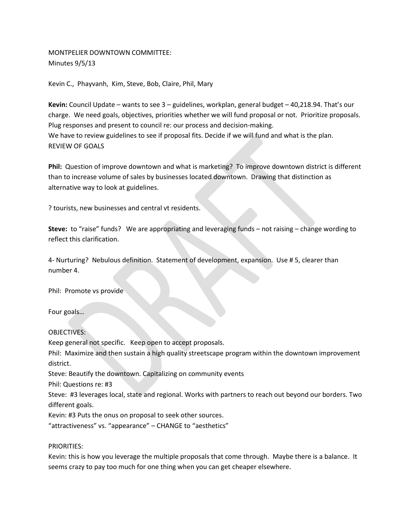## MONTPELIER DOWNTOWN COMMITTEE: Minutes 9/5/13

Kevin C., Phayvanh, Kim, Steve, Bob, Claire, Phil, Mary

**Kevin:** Council Update – wants to see 3 – guidelines, workplan, general budget – 40,218.94. That's our charge. We need goals, objectives, priorities whether we will fund proposal or not. Prioritize proposals. Plug responses and present to council re: our process and decision-making. We have to review guidelines to see if proposal fits. Decide if we will fund and what is the plan. REVIEW OF GOALS

**Phil:** Question of improve downtown and what is marketing? To improve downtown district is different than to increase volume of sales by businesses located downtown. Drawing that distinction as alternative way to look at guidelines.

? tourists, new businesses and central vt residents.

**Steve:** to "raise" funds? We are appropriating and leveraging funds – not raising – change wording to reflect this clarification.

4- Nurturing? Nebulous definition. Statement of development, expansion. Use # 5, clearer than number 4.

Phil: Promote vs provide

Four goals…

OBJECTIVES:

Keep general not specific. Keep open to accept proposals.

Phil: Maximize and then sustain a high quality streetscape program within the downtown improvement district.

Steve: Beautify the downtown. Capitalizing on community events

Phil: Questions re: #3

Steve: #3 leverages local, state and regional. Works with partners to reach out beyond our borders. Two different goals.

Kevin: #3 Puts the onus on proposal to seek other sources.

"attractiveness" vs. "appearance" – CHANGE to "aesthetics"

PRIORITIES:

Kevin: this is how you leverage the multiple proposals that come through. Maybe there is a balance. It seems crazy to pay too much for one thing when you can get cheaper elsewhere.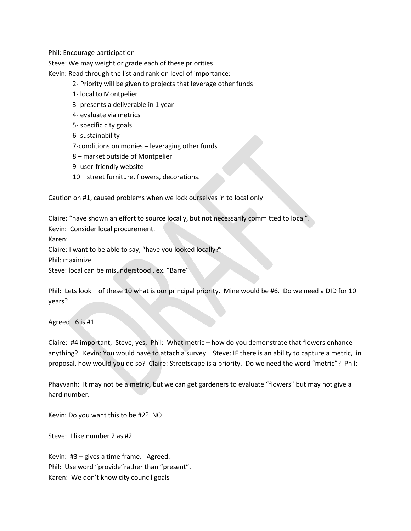Phil: Encourage participation

Steve: We may weight or grade each of these priorities

Kevin: Read through the list and rank on level of importance:

- 2- Priority will be given to projects that leverage other funds
- 1- local to Montpelier
- 3- presents a deliverable in 1 year
- 4- evaluate via metrics
- 5- specific city goals
- 6- sustainability
- 7-conditions on monies leveraging other funds
- 8 market outside of Montpelier
- 9- user-friendly website
- 10 street furniture, flowers, decorations.

Caution on #1, caused problems when we lock ourselves in to local only

Claire: "have shown an effort to source locally, but not necessarily committed to local". Kevin: Consider local procurement. Karen: Claire: I want to be able to say, "have you looked locally?" Phil: maximize Steve: local can be misunderstood , ex. "Barre"

Phil: Lets look – of these 10 what is our principal priority. Mine would be #6. Do we need a DID for 10 years?

Agreed. 6 is #1

Claire: #4 important, Steve, yes, Phil: What metric – how do you demonstrate that flowers enhance anything? Kevin: You would have to attach a survey. Steve: IF there is an ability to capture a metric, in proposal, how would you do so? Claire: Streetscape is a priority. Do we need the word "metric"? Phil:

Phayvanh: It may not be a metric, but we can get gardeners to evaluate "flowers" but may not give a hard number.

Kevin: Do you want this to be #2? NO

Steve: I like number 2 as #2

Kevin: #3 – gives a time frame. Agreed. Phil: Use word "provide"rather than "present". Karen: We don't know city council goals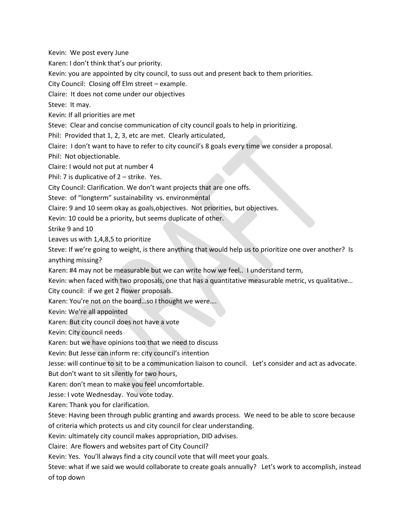Kevin: We post every June Karen: I don't think that's our priority. Kevin: you are appointed by city council, to suss out and present back to them priorities. City Council: Closing off Elm street – example. Claire: It does not come under our objectives Steve: It may. Kevin: If all priorities are met Steve: Clear and concise communication of city council goals to help in prioritizing. Phil: Provided that 1, 2, 3, etc are met. Clearly articulated, Claire: I don't want to have to refer to city council's 8 goals every time we consider a proposal. Phil: Not objectionable. Claire: I would not put at number 4 Phil: 7 is duplicative of 2 – strike. Yes. City Council: Clarification. We don't want projects that are one offs. Steve: of "longterm" sustainability vs. environmental Claire: 9 and 10 seem okay as goals,objectives. Not priorities, but objectives. Kevin: 10 could be a priority, but seems duplicate of other. Strike 9 and 10 Leaves us with 1,4,8,5 to prioritize Steve: If we're going to weight, is there anything that would help us to prioritize one over another? Is anything missing? Karen: #4 may not be measurable but we can write how we feel.. I understand term, Kevin: when faced with two proposals, one that has a quantitative measurable metric, vs qualitative… City council: if we get 2 flower proposals. Karen: You're not on the board…so I thought we were…. Kevin: We're all appointed Karen: But city council does not have a vote Kevin: City council needs Karen: but we have opinions too that we need to discuss Kevin: But Jesse can inform re: city council's intention Jesse: will continue to sit to be a communication liaison to council. Let's consider and act as advocate. But don't want to sit silently for two hours, Karen: don't mean to make you feel uncomfortable. Jesse: I vote Wednesday. You vote today. Karen: Thank you for clarification. Steve: Having been through public granting and awards process. We need to be able to score because of criteria which protects us and city council for clear understanding. Kevin: ultimately city council makes appropriation, DID advises. Claire: Are flowers and websites part of City Council? Kevin: Yes. You'll always find a city council vote that will meet your goals. Steve: what if we said we would collaborate to create goals annually? Let's work to accomplish, instead of top down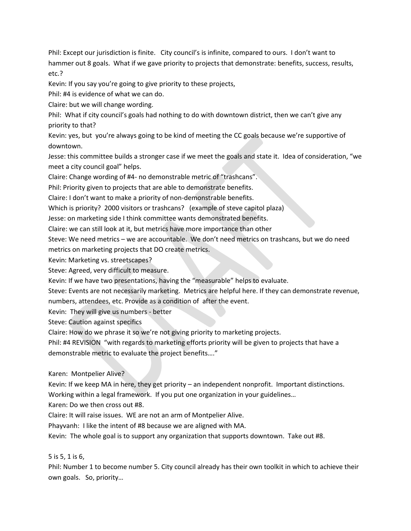Phil: Except our jurisdiction is finite. City council's is infinite, compared to ours. I don't want to hammer out 8 goals. What if we gave priority to projects that demonstrate: benefits, success, results, etc.?

Kevin: If you say you're going to give priority to these projects,

Phil: #4 is evidence of what we can do.

Claire: but we will change wording.

Phil: What if city council's goals had nothing to do with downtown district, then we can't give any priority to that?

Kevin: yes, but you're always going to be kind of meeting the CC goals because we're supportive of downtown.

Jesse: this committee builds a stronger case if we meet the goals and state it. Idea of consideration, "we meet a city council goal" helps.

Claire: Change wording of #4- no demonstrable metric of "trashcans".

Phil: Priority given to projects that are able to demonstrate benefits.

Claire: I don't want to make a priority of non-demonstrable benefits.

Which is priority? 2000 visitors or trashcans? (example of steve capitol plaza)

Jesse: on marketing side I think committee wants demonstrated benefits.

Claire: we can still look at it, but metrics have more importance than other

Steve: We need metrics – we are accountable. We don't need metrics on trashcans, but we do need

metrics on marketing projects that DO create metrics.

Kevin: Marketing vs. streetscapes?

Steve: Agreed, very difficult to measure.

Kevin: If we have two presentations, having the "measurable" helps to evaluate.

Steve: Events are not necessarily marketing. Metrics are helpful here. If they can demonstrate revenue, numbers, attendees, etc. Provide as a condition of after the event.

Kevin: They will give us numbers - better

Steve: Caution against specifics

Claire: How do we phrase it so we're not giving priority to marketing projects.

Phil: #4 REVISION "with regards to marketing efforts priority will be given to projects that have a demonstrable metric to evaluate the project benefits…."

Karen: Montpelier Alive?

Kevin: If we keep MA in here, they get priority – an independent nonprofit. Important distinctions. Working within a legal framework. If you put one organization in your guidelines…

Karen: Do we then cross out #8.

Claire: It will raise issues. WE are not an arm of Montpelier Alive.

Phayvanh: I like the intent of #8 because we are aligned with MA.

Kevin: The whole goal is to support any organization that supports downtown. Take out #8.

5 is 5, 1 is 6,

Phil: Number 1 to become number 5. City council already has their own toolkit in which to achieve their own goals. So, priority…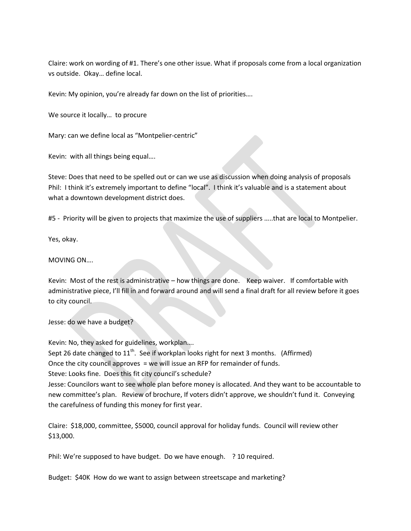Claire: work on wording of #1. There's one other issue. What if proposals come from a local organization vs outside. Okay… define local.

Kevin: My opinion, you're already far down on the list of priorities….

We source it locally... to procure

Mary: can we define local as "Montpelier-centric"

Kevin: with all things being equal….

Steve: Does that need to be spelled out or can we use as discussion when doing analysis of proposals Phil: I think it's extremely important to define "local". I think it's valuable and is a statement about what a downtown development district does.

#5 - Priority will be given to projects that maximize the use of suppliers …..that are local to Montpelier.

Yes, okay.

MOVING ON….

Kevin: Most of the rest is administrative – how things are done. Keep waiver. If comfortable with administrative piece, I'll fill in and forward around and will send a final draft for all review before it goes to city council.

Jesse: do we have a budget?

Kevin: No, they asked for guidelines, workplan….

Sept 26 date changed to  $11^{\text{th}}$ . See if workplan looks right for next 3 months. (Affirmed)

Once the city council approves = we will issue an RFP for remainder of funds.

Steve: Looks fine. Does this fit city council's schedule?

Jesse: Councilors want to see whole plan before money is allocated. And they want to be accountable to new committee's plan. Review of brochure, If voters didn't approve, we shouldn't fund it. Conveying the carefulness of funding this money for first year.

Claire: \$18,000, committee, \$5000, council approval for holiday funds. Council will review other \$13,000.

Phil: We're supposed to have budget. Do we have enough. ? 10 required.

Budget: \$40K How do we want to assign between streetscape and marketing?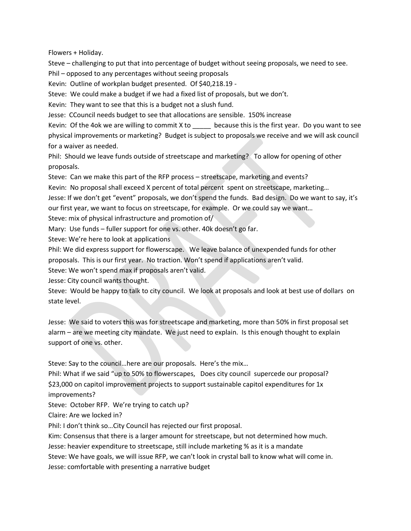Flowers + Holiday.

Steve – challenging to put that into percentage of budget without seeing proposals, we need to see.

Phil – opposed to any percentages without seeing proposals

Kevin: Outline of workplan budget presented. Of \$40,218.19 -

Steve: We could make a budget if we had a fixed list of proposals, but we don't.

Kevin: They want to see that this is a budget not a slush fund.

Jesse: CCouncil needs budget to see that allocations are sensible. 150% increase

Kevin: Of the 4ok we are willing to commit X to secause this is the first year. Do you want to see physical improvements or marketing? Budget is subject to proposals we receive and we will ask council for a waiver as needed.

Phil: Should we leave funds outside of streetscape and marketing? To allow for opening of other proposals.

Steve: Can we make this part of the RFP process – streetscape, marketing and events?

Kevin: No proposal shall exceed X percent of total percent spent on streetscape, marketing…

Jesse: If we don't get "event" proposals, we don't spend the funds. Bad design. Do we want to say, it's our first year, we want to focus on streetscape, for example. Or we could say we want…

Steve: mix of physical infrastructure and promotion of/

Mary: Use funds – fuller support for one vs. other. 40k doesn't go far.

Steve: We're here to look at applications

Phil: We did express support for flowerscape. We leave balance of unexpended funds for other proposals. This is our first year. No traction. Won't spend if applications aren't valid.

Steve: We won't spend max if proposals aren't valid.

Jesse: City council wants thought.

Steve: Would be happy to talk to city council. We look at proposals and look at best use of dollars on state level.

Jesse: We said to voters this was for streetscape and marketing, more than 50% in first proposal set alarm – are we meeting city mandate. We just need to explain. Is this enough thought to explain support of one vs. other.

Steve: Say to the council…here are our proposals. Here's the mix…

Phil: What if we said "up to 50% to flowerscapes, Does city council supercede our proposal? \$23,000 on capitol improvement projects to support sustainable capitol expenditures for 1x improvements?

Steve: October RFP. We're trying to catch up?

Claire: Are we locked in?

Phil: I don't think so…City Council has rejected our first proposal.

Kim: Consensus that there is a larger amount for streetscape, but not determined how much.

Jesse: heavier expenditure to streetscape, still include marketing % as it is a mandate

Steve: We have goals, we will issue RFP, we can't look in crystal ball to know what will come in.

Jesse: comfortable with presenting a narrative budget